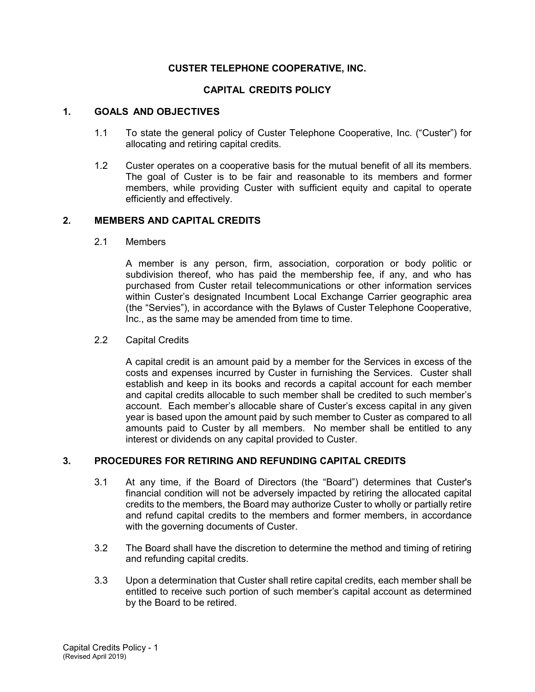# **CUSTER TELEPHONE COOPERATIVE, INC.**

# **CAPITAL CREDITS POLICY**

### **1. GOALS AND OBJECTIVES**

- 1.1 To state the general policy of Custer Telephone Cooperative, Inc. ("Custer") for allocating and retiring capital credits.
- 1.2 Custer operates on a cooperative basis for the mutual benefit of all its members. The goal of Custer is to be fair and reasonable to its members and former members, while providing Custer with sufficient equity and capital to operate efficiently and effectively.

### **2. MEMBERS AND CAPITAL CREDITS**

2.1 Members

A member is any person, firm, association, corporation or body politic or subdivision thereof, who has paid the membership fee, if any, and who has purchased from Custer retail telecommunications or other information services within Custer's designated Incumbent Local Exchange Carrier geographic area (the "Servies"), in accordance with the Bylaws of Custer Telephone Cooperative, Inc., as the same may be amended from time to time.

#### 2.2 Capital Credits

A capital credit is an amount paid by a member for the Services in excess of the costs and expenses incurred by Custer in furnishing the Services. Custer shall establish and keep in its books and records a capital account for each member and capital credits allocable to such member shall be credited to such member's account. Each member's allocable share of Custer's excess capital in any given year is based upon the amount paid by such member to Custer as compared to all amounts paid to Custer by all members. No member shall be entitled to any interest or dividends on any capital provided to Custer.

## **3. PROCEDURES FOR RETIRING AND REFUNDING CAPITAL CREDITS**

- 3.1 At any time, if the Board of Directors (the "Board") determines that Custer's financial condition will not be adversely impacted by retiring the allocated capital credits to the members, the Board may authorize Custer to wholly or partially retire and refund capital credits to the members and former members, in accordance with the governing documents of Custer.
- 3.2 The Board shall have the discretion to determine the method and timing of retiring and refunding capital credits.
- 3.3 Upon a determination that Custer shall retire capital credits, each member shall be entitled to receive such portion of such member's capital account as determined by the Board to be retired.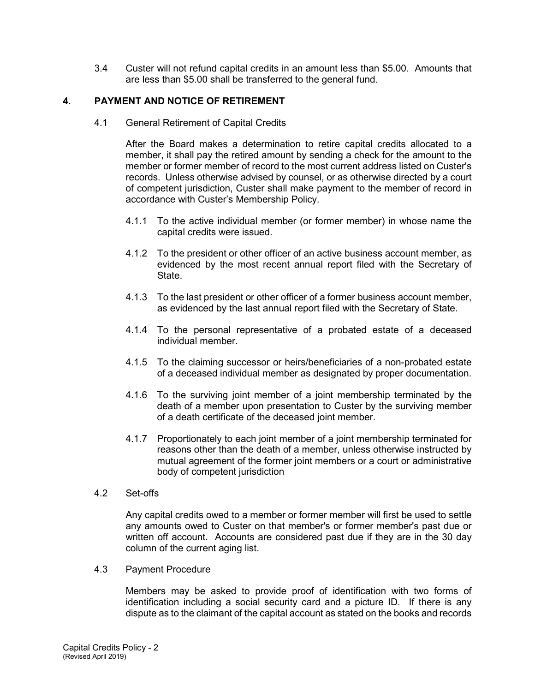3.4 Custer will not refund capital credits in an amount less than \$5.00. Amounts that are less than \$5.00 shall be transferred to the general fund.

# **4. PAYMENT AND NOTICE OF RETIREMENT**

4.1 General Retirement of Capital Credits

After the Board makes a determination to retire capital credits allocated to a member, it shall pay the retired amount by sending a check for the amount to the member or former member of record to the most current address listed on Custer's records. Unless otherwise advised by counsel, or as otherwise directed by a court of competent jurisdiction, Custer shall make payment to the member of record in accordance with Custer's Membership Policy.

- 4.1.1 To the active individual member (or former member) in whose name the capital credits were issued.
- 4.1.2 To the president or other officer of an active business account member, as evidenced by the most recent annual report filed with the Secretary of State.
- 4.1.3 To the last president or other officer of a former business account member, as evidenced by the last annual report filed with the Secretary of State.
- 4.1.4 To the personal representative of a probated estate of a deceased individual member.
- 4.1.5 To the claiming successor or heirs/beneficiaries of a non-probated estate of a deceased individual member as designated by proper documentation.
- 4.1.6 To the surviving joint member of a joint membership terminated by the death of a member upon presentation to Custer by the surviving member of a death certificate of the deceased joint member.
- 4.1.7 Proportionately to each joint member of a joint membership terminated for reasons other than the death of a member, unless otherwise instructed by mutual agreement of the former joint members or a court or administrative body of competent jurisdiction
- 4.2 Set-offs

Any capital credits owed to a member or former member will first be used to settle any amounts owed to Custer on that member's or former member's past due or written off account. Accounts are considered past due if they are in the 30 day column of the current aging list.

4.3 Payment Procedure

Members may be asked to provide proof of identification with two forms of identification including a social security card and a picture ID. If there is any dispute as to the claimant of the capital account as stated on the books and records